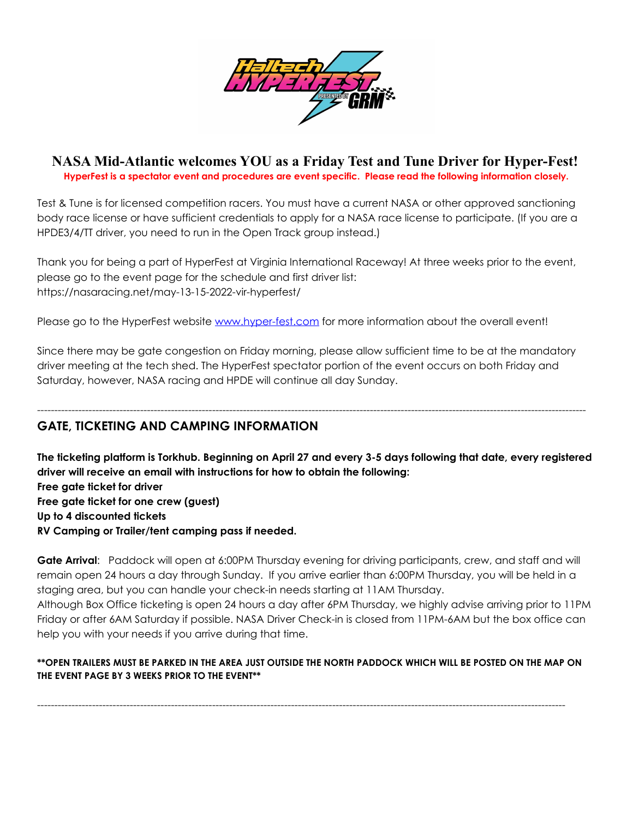

**NASA Mid-Atlantic welcomes YOU as a Friday Test and Tune Driver for Hyper-Fest! HyperFest is a spectator event and procedures are event specific. Please read the following information closely.**

Test & Tune is for licensed competition racers. You must have a current NASA or other approved sanctioning body race license or have sufficient credentials to apply for a NASA race license to participate. (If you are a HPDE3/4/TT driver, you need to run in the Open Track group instead.)

Thank you for being a part of HyperFest at Virginia International Raceway! At three weeks prior to the event, please go to the event page for the schedule and first driver list: https://nasaracing.net/may-13-15-2022-vir-hyperfest/

Please go to the HyperFest website [www.hyper-fest.com](http://www.hyper-fest.com) for more information about the overall event!

Since there may be gate congestion on Friday morning, please allow sufficient time to be at the mandatory driver meeting at the tech shed. The HyperFest spectator portion of the event occurs on both Friday and Saturday, however, NASA racing and HPDE will continue all day Sunday.

----------------------------------------------------------------------------------------------------------------------------------------------------------------

## **GATE, TICKETING AND CAMPING INFORMATION**

The ticketing platform is Torkhub. Beginning on April 27 and every 3-5 days following that date, every registered **driver will receive an email with instructions for how to obtain the following: Free gate ticket for driver Free gate ticket for one crew (guest) Up to 4 discounted tickets RV Camping or Trailer/tent camping pass if needed.**

**Gate Arrival**: Paddock will open at 6:00PM Thursday evening for driving participants, crew, and staff and will remain open 24 hours a day through Sunday. If you arrive earlier than 6:00PM Thursday, you will be held in a staging area, but you can handle your check-in needs starting at 11AM Thursday.

Although Box Office ticketing is open 24 hours a day after 6PM Thursday, we highly advise arriving prior to 11PM Friday or after 6AM Saturday if possible. NASA Driver Check-in is closed from 11PM-6AM but the box office can help you with your needs if you arrive during that time.

#### **\*\*OPEN TRAILERS MUST BE PARKED IN THE AREA JUST OUTSIDE THE NORTH PADDOCK WHICH WILL BE POSTED ON THE MAP ON THE EVENT PAGE BY 3 WEEKS PRIOR TO THE EVENT\*\***

----------------------------------------------------------------------------------------------------------------------------------------------------------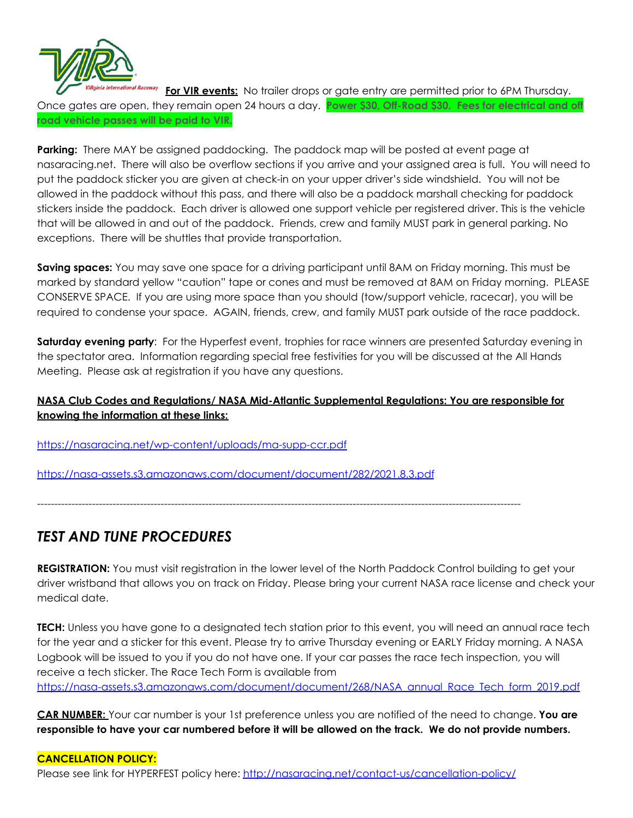

**For VIR events:** No trailer drops or gate entry are permitted prior to 6PM Thursday. Once gates are open, they remain open 24 hours a day. **Power \$30, Off-Road \$30. Fees for electrical and off road vehicle passes will be paid to VIR.**

**Parking:** There MAY be assigned paddocking. The paddock map will be posted at event page at nasaracing.net. There will also be overflow sections if you arrive and your assigned area is full. You will need to put the paddock sticker you are given at check-in on your upper driver's side windshield. You will not be allowed in the paddock without this pass, and there will also be a paddock marshall checking for paddock stickers inside the paddock. Each driver is allowed one support vehicle per registered driver. This is the vehicle that will be allowed in and out of the paddock. Friends, crew and family MUST park in general parking. No exceptions. There will be shuttles that provide transportation.

**Saving spaces:** You may save one space for a driving participant until 8AM on Friday morning. This must be marked by standard yellow "caution" tape or cones and must be removed at 8AM on Friday morning. PLEASE CONSERVE SPACE. If you are using more space than you should (tow/support vehicle, racecar), you will be required to condense your space. AGAIN, friends, crew, and family MUST park outside of the race paddock.

**Saturday evening party**: For the Hyperfest event, trophies for race winners are presented Saturday evening in the spectator area. Information regarding special free festivities for you will be discussed at the All Hands Meeting. Please ask at registration if you have any questions.

### **NASA Club Codes and Regulations/ NASA Mid-Atlantic Supplemental Regulations: You are responsible for knowing the information at these links:**

<https://nasaracing.net/wp-content/uploads/ma-supp-ccr.pdf>

<https://nasa-assets.s3.amazonaws.com/document/document/282/2021.8.3.pdf>

---------------------------------------------------------------------------------------------------------------------------------------------

# *TEST AND TUNE PROCEDURES*

**REGISTRATION:** You must visit registration in the lower level of the North Paddock Control building to get your driver wristband that allows you on track on Friday. Please bring your current NASA race license and check your medical date.

**TECH:** Unless you have gone to a designated tech station prior to this event, you will need an annual race tech for the year and a sticker for this event. Please try to arrive Thursday evening or EARLY Friday morning. A NASA Logbook will be issued to you if you do not have one. If your car passes the race tech inspection, you will receive a tech sticker. The Race Tech Form is available from [https://nasa-assets.s3.amazonaws.com/document/document/268/NASA\\_annual\\_Race\\_Tech\\_form\\_2019.pdf](https://nasa-assets.s3.amazonaws.com/document/document/268/NASA_annual_Race_Tech_form_2019.pdf)

**CAR NUMBER:** Your car number is your 1st preference unless you are notified of the need to change. **You are** responsible to have your car numbered before it will be allowed on the track. We do not provide numbers.

#### **CANCELLATION POLICY:**

Please see link for HYPERFEST policy here: <http://nasaracing.net/contact-us/cancellation-policy/>